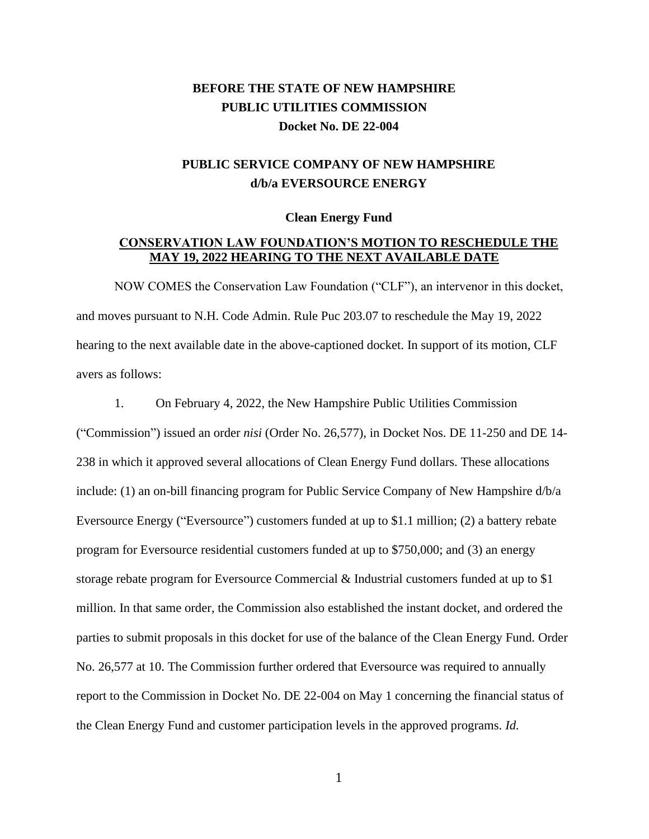# **BEFORE THE STATE OF NEW HAMPSHIRE PUBLIC UTILITIES COMMISSION Docket No. DE 22-004**

## **PUBLIC SERVICE COMPANY OF NEW HAMPSHIRE d/b/a EVERSOURCE ENERGY**

#### **Clean Energy Fund**

### **CONSERVATION LAW FOUNDATION'S MOTION TO RESCHEDULE THE MAY 19, 2022 HEARING TO THE NEXT AVAILABLE DATE**

NOW COMES the Conservation Law Foundation ("CLF"), an intervenor in this docket, and moves pursuant to N.H. Code Admin. Rule Puc 203.07 to reschedule the May 19, 2022 hearing to the next available date in the above-captioned docket. In support of its motion, CLF avers as follows:

1. On February 4, 2022, the New Hampshire Public Utilities Commission ("Commission") issued an order *nisi* (Order No. 26,577), in Docket Nos. DE 11-250 and DE 14- 238 in which it approved several allocations of Clean Energy Fund dollars. These allocations include: (1) an on-bill financing program for Public Service Company of New Hampshire d/b/a Eversource Energy ("Eversource") customers funded at up to \$1.1 million; (2) a battery rebate program for Eversource residential customers funded at up to \$750,000; and (3) an energy storage rebate program for Eversource Commercial & Industrial customers funded at up to \$1 million. In that same order, the Commission also established the instant docket, and ordered the parties to submit proposals in this docket for use of the balance of the Clean Energy Fund. Order No. 26,577 at 10. The Commission further ordered that Eversource was required to annually report to the Commission in Docket No. DE 22-004 on May 1 concerning the financial status of the Clean Energy Fund and customer participation levels in the approved programs. *Id.*

1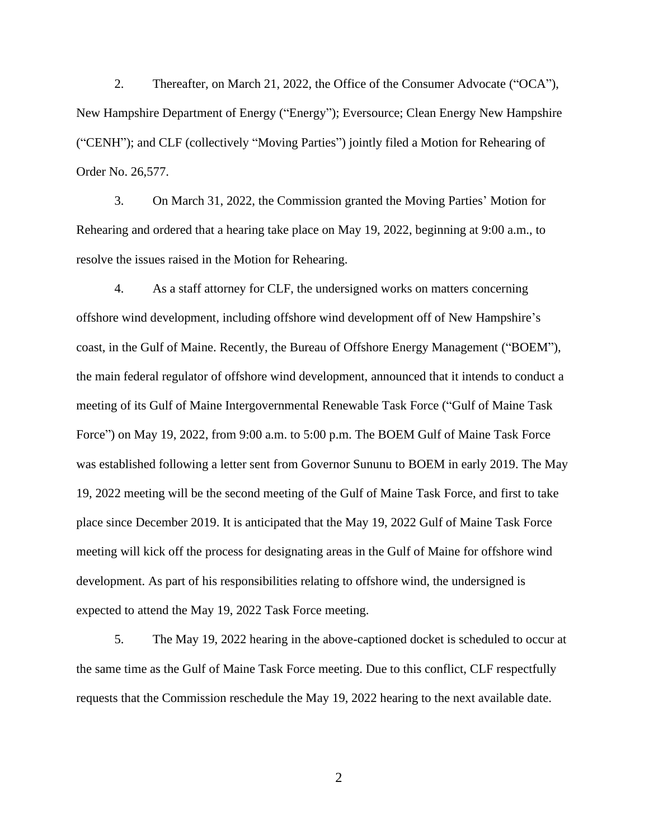2. Thereafter, on March 21, 2022, the Office of the Consumer Advocate ("OCA"), New Hampshire Department of Energy ("Energy"); Eversource; Clean Energy New Hampshire ("CENH"); and CLF (collectively "Moving Parties") jointly filed a Motion for Rehearing of Order No. 26,577.

3. On March 31, 2022, the Commission granted the Moving Parties' Motion for Rehearing and ordered that a hearing take place on May 19, 2022, beginning at 9:00 a.m., to resolve the issues raised in the Motion for Rehearing.

4. As a staff attorney for CLF, the undersigned works on matters concerning offshore wind development, including offshore wind development off of New Hampshire's coast, in the Gulf of Maine. Recently, the Bureau of Offshore Energy Management ("BOEM"), the main federal regulator of offshore wind development, announced that it intends to conduct a meeting of its Gulf of Maine Intergovernmental Renewable Task Force ("Gulf of Maine Task Force") on May 19, 2022, from 9:00 a.m. to 5:00 p.m. The BOEM Gulf of Maine Task Force was established following a letter sent from Governor Sununu to BOEM in early 2019. The May 19, 2022 meeting will be the second meeting of the Gulf of Maine Task Force, and first to take place since December 2019. It is anticipated that the May 19, 2022 Gulf of Maine Task Force meeting will kick off the process for designating areas in the Gulf of Maine for offshore wind development. As part of his responsibilities relating to offshore wind, the undersigned is expected to attend the May 19, 2022 Task Force meeting.

5. The May 19, 2022 hearing in the above-captioned docket is scheduled to occur at the same time as the Gulf of Maine Task Force meeting. Due to this conflict, CLF respectfully requests that the Commission reschedule the May 19, 2022 hearing to the next available date.

 $\mathfrak{D}$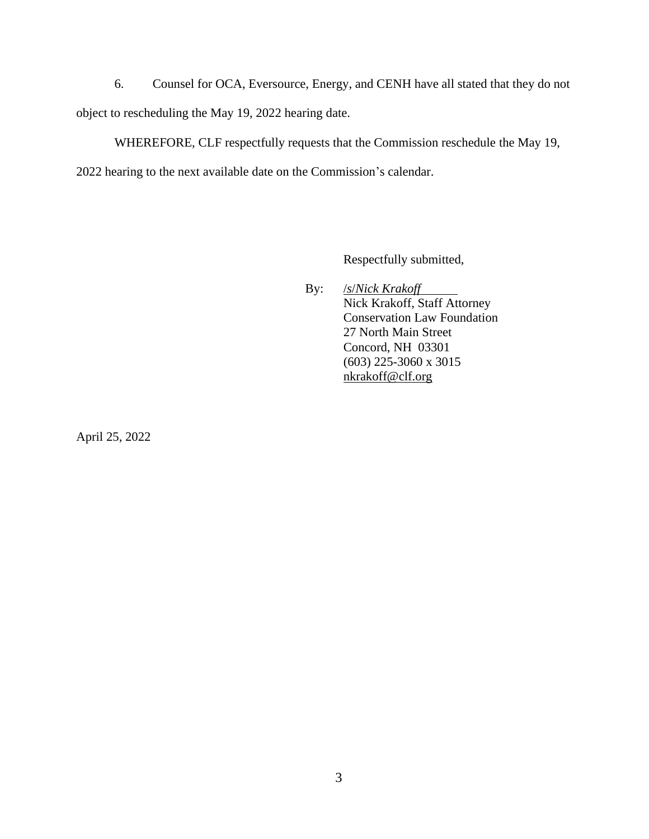6. Counsel for OCA, Eversource, Energy, and CENH have all stated that they do not object to rescheduling the May 19, 2022 hearing date.

WHEREFORE, CLF respectfully requests that the Commission reschedule the May 19,

2022 hearing to the next available date on the Commission's calendar.

Respectfully submitted,

By: /*s*/*Nick Krakoff* Nick Krakoff, Staff Attorney Conservation Law Foundation 27 North Main Street Concord, NH 03301 (603) 225-3060 x 3015 [nkrakoff@clf.org](mailto:nkrakoff@clf.org)

April 25, 2022